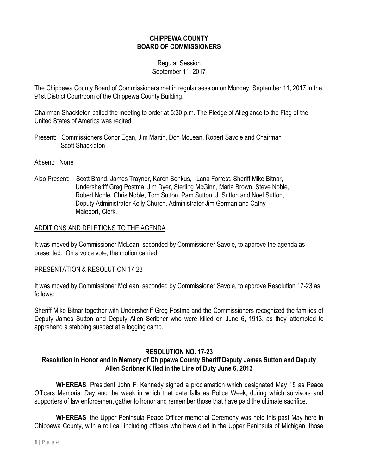# **CHIPPEWA COUNTY BOARD OF COMMISSIONERS**

## Regular Session September 11, 2017

The Chippewa County Board of Commissioners met in regular session on Monday, September 11, 2017 in the 91st District Courtroom of the Chippewa County Building.

Chairman Shackleton called the meeting to order at 5:30 p.m. The Pledge of Allegiance to the Flag of the United States of America was recited.

- Present: Commissioners Conor Egan, Jim Martin, Don McLean, Robert Savoie and Chairman Scott Shackleton
- Absent: None
- Also Present: Scott Brand, James Traynor, Karen Senkus, Lana Forrest, Sheriff Mike Bitnar, Undersheriff Greg Postma, Jim Dyer, Sterling McGinn, Maria Brown, Steve Noble, Robert Noble, Chris Noble, Tom Sutton, Pam Sutton, J. Sutton and Noel Sutton, Deputy Administrator Kelly Church, Administrator Jim German and Cathy Maleport, Clerk.

## ADDITIONS AND DELETIONS TO THE AGENDA

It was moved by Commissioner McLean, seconded by Commissioner Savoie, to approve the agenda as presented. On a voice vote, the motion carried.

### PRESENTATION & RESOLUTION 17-23

It was moved by Commissioner McLean, seconded by Commissioner Savoie, to approve Resolution 17-23 as follows:

Sheriff Mike Bitnar together with Undersheriff Greg Postma and the Commissioners recognized the families of Deputy James Sutton and Deputy Allen Scribner who were killed on June 6, 1913, as they attempted to apprehend a stabbing suspect at a logging camp.

## **RESOLUTION NO. 17-23**

# **Resolution in Honor and In Memory of Chippewa County Sheriff Deputy James Sutton and Deputy Allen Scribner Killed in the Line of Duty June 6, 2013**

**WHEREAS**, President John F. Kennedy signed a proclamation which designated May 15 as Peace Officers Memorial Day and the week in which that date falls as Police Week, during which survivors and supporters of law enforcement gather to honor and remember those that have paid the ultimate sacrifice.

**WHEREAS**, the Upper Peninsula Peace Officer memorial Ceremony was held this past May here in Chippewa County, with a roll call including officers who have died in the Upper Peninsula of Michigan, those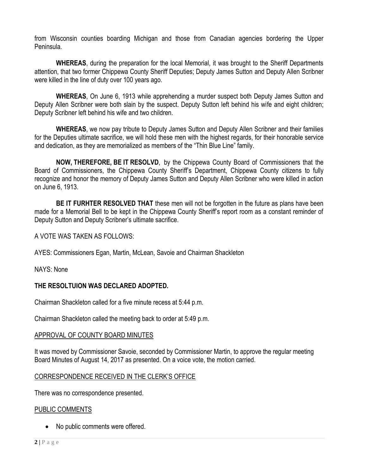from Wisconsin counties boarding Michigan and those from Canadian agencies bordering the Upper Peninsula.

**WHEREAS**, during the preparation for the local Memorial, it was brought to the Sheriff Departments attention, that two former Chippewa County Sheriff Deputies; Deputy James Sutton and Deputy Allen Scribner were killed in the line of duty over 100 years ago.

**WHEREAS**, On June 6, 1913 while apprehending a murder suspect both Deputy James Sutton and Deputy Allen Scribner were both slain by the suspect. Deputy Sutton left behind his wife and eight children; Deputy Scribner left behind his wife and two children.

**WHEREAS**, we now pay tribute to Deputy James Sutton and Deputy Allen Scribner and their families for the Deputies ultimate sacrifice, we will hold these men with the highest regards, for their honorable service and dedication, as they are memorialized as members of the "Thin Blue Line" family.

**NOW, THEREFORE, BE IT RESOLVD**, by the Chippewa County Board of Commissioners that the Board of Commissioners, the Chippewa County Sheriff's Department, Chippewa County citizens to fully recognize and honor the memory of Deputy James Sutton and Deputy Allen Scribner who were killed in action on June 6, 1913.

**BE IT FURHTER RESOLVED THAT** these men will not be forgotten in the future as plans have been made for a Memorial Bell to be kept in the Chippewa County Sheriff's report room as a constant reminder of Deputy Sutton and Deputy Scribner's ultimate sacrifice.

A VOTE WAS TAKEN AS FOLLOWS:

AYES: Commissioners Egan, Martin, McLean, Savoie and Chairman Shackleton

NAYS: None

# **THE RESOLTUION WAS DECLARED ADOPTED.**

Chairman Shackleton called for a five minute recess at 5:44 p.m.

Chairman Shackleton called the meeting back to order at 5:49 p.m.

## APPROVAL OF COUNTY BOARD MINUTES

It was moved by Commissioner Savoie, seconded by Commissioner Martin, to approve the regular meeting Board Minutes of August 14, 2017 as presented. On a voice vote, the motion carried.

# CORRESPONDENCE RECEIVED IN THE CLERK'S OFFICE

There was no correspondence presented.

## PUBLIC COMMENTS

• No public comments were offered.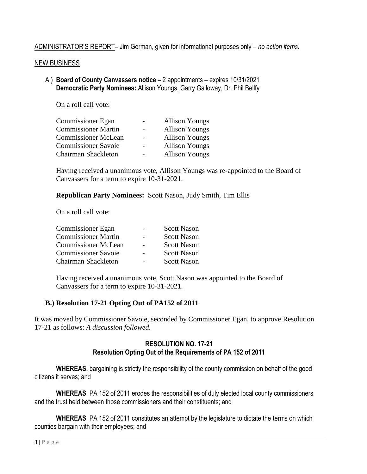ADMINISTRATOR'S REPORT**–** Jim German, given for informational purposes only – *no action items*.

### NEW BUSINESS

A.) **Board of County Canvassers notice –** 2 appointments – expires 10/31/2021 **Democratic Party Nominees:** Allison Youngs, Garry Galloway, Dr. Phil Bellfy

On a roll call vote:

| <b>Commissioner Egan</b>   | <b>Allison Youngs</b> |
|----------------------------|-----------------------|
| <b>Commissioner Martin</b> | <b>Allison Youngs</b> |
| <b>Commissioner McLean</b> | <b>Allison Youngs</b> |
| <b>Commissioner Savoie</b> | <b>Allison Youngs</b> |
| Chairman Shackleton        | <b>Allison Youngs</b> |

Having received a unanimous vote, Allison Youngs was re-appointed to the Board of Canvassers for a term to expire 10-31-2021.

**Republican Party Nominees:** Scott Nason, Judy Smith, Tim Ellis

On a roll call vote:

| <b>Scott Nason</b> |
|--------------------|
| <b>Scott Nason</b> |
| <b>Scott Nason</b> |
| <b>Scott Nason</b> |
| <b>Scott Nason</b> |
|                    |

Having received a unanimous vote, Scott Nason was appointed to the Board of Canvassers for a term to expire 10-31-2021.

# **B.) Resolution 17-21 Opting Out of PA152 of 2011**

It was moved by Commissioner Savoie, seconded by Commissioner Egan, to approve Resolution 17-21 as follows: *A discussion followed.*

# **RESOLUTION NO. 17-21 Resolution Opting Out of the Requirements of PA 152 of 2011**

**WHEREAS,** bargaining is strictly the responsibility of the county commission on behalf of the good citizens it serves; and

**WHEREAS**, PA 152 of 2011 erodes the responsibilities of duly elected local county commissioners and the trust held between those commissioners and their constituents; and

**WHEREAS**, PA 152 of 2011 constitutes an attempt by the legislature to dictate the terms on which counties bargain with their employees; and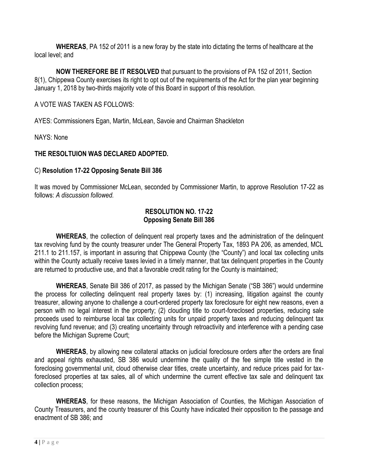**WHEREAS**, PA 152 of 2011 is a new foray by the state into dictating the terms of healthcare at the local level; and

**NOW THEREFORE BE IT RESOLVED** that pursuant to the provisions of PA 152 of 2011, Section 8(1), Chippewa County exercises its right to opt out of the requirements of the Act for the plan year beginning January 1, 2018 by two-thirds majority vote of this Board in support of this resolution.

# A VOTE WAS TAKEN AS FOLLOWS:

AYES: Commissioners Egan, Martin, McLean, Savoie and Chairman Shackleton

NAYS: None

# **THE RESOLTUION WAS DECLARED ADOPTED.**

# C) **Resolution 17-22 Opposing Senate Bill 386**

It was moved by Commissioner McLean, seconded by Commissioner Martin, to approve Resolution 17-22 as follows: *A discussion followed.*

## **RESOLUTION NO. 17-22 Opposing Senate Bill 386**

**WHEREAS**, the collection of delinquent real property taxes and the administration of the delinquent tax revolving fund by the county treasurer under The General Property Tax, 1893 PA 206, as amended, MCL 211.1 to 211.157, is important in assuring that Chippewa County (the "County") and local tax collecting units within the County actually receive taxes levied in a timely manner, that tax delinquent properties in the County are returned to productive use, and that a favorable credit rating for the County is maintained;

**WHEREAS**, Senate Bill 386 of 2017, as passed by the Michigan Senate ("SB 386") would undermine the process for collecting delinquent real property taxes by: (1) increasing, litigation against the county treasurer, allowing anyone to challenge a court-ordered property tax foreclosure for eight new reasons, even a person with no legal interest in the property; (2) clouding title to court-foreclosed properties, reducing sale proceeds used to reimburse local tax collecting units for unpaid property taxes and reducing delinquent tax revolving fund revenue; and (3) creating uncertainty through retroactivity and interference with a pending case before the Michigan Supreme Court;

**WHEREAS**, by allowing new collateral attacks on judicial foreclosure orders after the orders are final and appeal rights exhausted, SB 386 would undermine the quality of the fee simple title vested in the foreclosing governmental unit, cloud otherwise clear titles, create uncertainty, and reduce prices paid for taxforeclosed properties at tax sales, all of which undermine the current effective tax sale and delinquent tax collection process;

**WHEREAS**, for these reasons, the Michigan Association of Counties, the Michigan Association of County Treasurers, and the county treasurer of this County have indicated their opposition to the passage and enactment of SB 386; and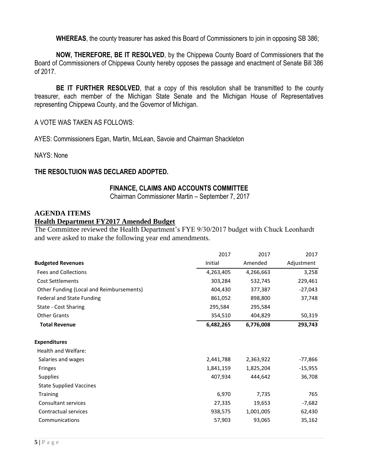**WHEREAS**, the county treasurer has asked this Board of Commissioners to join in opposing SB 386;

**NOW, THEREFORE, BE IT RESOLVED**, by the Chippewa County Board of Commissioners that the Board of Commissioners of Chippewa County hereby opposes the passage and enactment of Senate Bill 386 of 2017.

**BE IT FURTHER RESOLVED**, that a copy of this resolution shall be transmitted to the county treasurer, each member of the Michigan State Senate and the Michigan House of Representatives representing Chippewa County, and the Governor of Michigan.

### A VOTE WAS TAKEN AS FOLLOWS:

AYES: Commissioners Egan, Martin, McLean, Savoie and Chairman Shackleton

NAYS: None

### **THE RESOLTUION WAS DECLARED ADOPTED.**

#### **FINANCE, CLAIMS AND ACCOUNTS COMMITTEE**

Chairman Commissioner Martin – September 7, 2017

#### **AGENDA ITEMS**

#### **Health Department FY2017 Amended Budget**

The Committee reviewed the Health Department's FYE 9/30/2017 budget with Chuck Leonhardt and were asked to make the following year end amendments.

|                                          | 2017      | 2017      | 2017       |
|------------------------------------------|-----------|-----------|------------|
| <b>Budgeted Revenues</b>                 | Initial   | Amended   | Adjustment |
| <b>Fees and Collections</b>              | 4,263,405 | 4,266,663 | 3,258      |
| <b>Cost Settlements</b>                  | 303,284   | 532,745   | 229,461    |
| Other Funding (Local and Reimbursements) | 404,430   | 377,387   | $-27,043$  |
| <b>Federal and State Funding</b>         | 861,052   | 898,800   | 37,748     |
| State - Cost Sharing                     | 295,584   | 295,584   |            |
| <b>Other Grants</b>                      | 354,510   | 404,829   | 50,319     |
| <b>Total Revenue</b>                     | 6,482,265 | 6,776,008 | 293,743    |
| <b>Expenditures</b>                      |           |           |            |
| Health and Welfare:                      |           |           |            |
| Salaries and wages                       | 2,441,788 | 2,363,922 | -77,866    |
| Fringes                                  | 1,841,159 | 1,825,204 | $-15,955$  |
| <b>Supplies</b>                          | 407,934   | 444,642   | 36,708     |
| <b>State Supplied Vaccines</b>           |           |           |            |
| <b>Training</b>                          | 6,970     | 7,735     | 765        |
| Consultant services                      | 27,335    | 19,653    | $-7,682$   |
| Contractual services                     | 938,575   | 1,001,005 | 62,430     |
| Communications                           | 57,903    | 93,065    | 35,162     |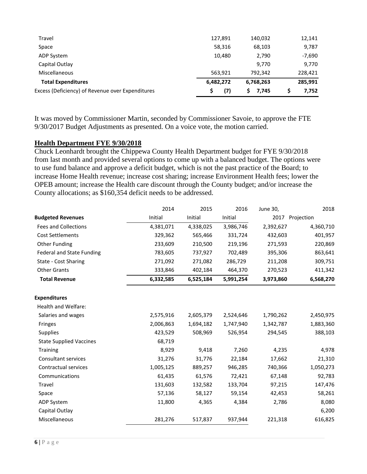| Excess (Deficiency) of Revenue over Expenditures | (7)       | S<br>7,745 | 7.752    |
|--------------------------------------------------|-----------|------------|----------|
| <b>Total Expenditures</b>                        | 6,482,272 | 6,768,263  | 285,991  |
| Miscellaneous                                    | 563,921   | 792.342    | 228,421  |
| Capital Outlay                                   |           | 9.770      | 9,770    |
| ADP System                                       | 10,480    | 2,790      | $-7,690$ |
| Space                                            | 58,316    | 68,103     | 9,787    |
| Travel                                           | 127,891   | 140,032    | 12,141   |
|                                                  |           |            |          |

It was moved by Commissioner Martin, seconded by Commissioner Savoie, to approve the FTE 9/30/2017 Budget Adjustments as presented. On a voice vote, the motion carried.

### **Health Department FYE 9/30/2018**

Chuck Leonhardt brought the Chippewa County Health Department budget for FYE 9/30/2018 from last month and provided several options to come up with a balanced budget. The options were to use fund balance and approve a deficit budget, which is not the past practice of the Board; to increase Home Health revenue; increase cost sharing; increase Environment Health fees; lower the OPEB amount; increase the Health care discount through the County budget; and/or increase the County allocations; as \$160,354 deficit needs to be addressed.

|                                  | 2014      | 2015      | 2016      | June 30,  | 2018            |
|----------------------------------|-----------|-----------|-----------|-----------|-----------------|
| <b>Budgeted Revenues</b>         | Initial   | Initial   | Initial   |           | 2017 Projection |
| <b>Fees and Collections</b>      | 4,381,071 | 4,338,025 | 3,986,746 | 2,392,627 | 4,360,710       |
| <b>Cost Settlements</b>          | 329,362   | 565,466   | 331,724   | 432,603   | 401,957         |
| <b>Other Funding</b>             | 233,609   | 210,500   | 219,196   | 271,593   | 220,869         |
| <b>Federal and State Funding</b> | 783,605   | 737,927   | 702,489   | 395,306   | 863,641         |
| State - Cost Sharing             | 271,092   | 271,082   | 286,729   | 211,208   | 309,751         |
| <b>Other Grants</b>              | 333,846   | 402,184   | 464,370   | 270,523   | 411,342         |
| <b>Total Revenue</b>             | 6,332,585 | 6,525,184 | 5,991,254 | 3,973,860 | 6,568,270       |
| <b>Expenditures</b>              |           |           |           |           |                 |
| Health and Welfare:              |           |           |           |           |                 |
| Salaries and wages               | 2,575,916 | 2,605,379 | 2,524,646 | 1,790,262 | 2,450,975       |
| Fringes                          | 2,006,863 | 1,694,182 | 1,747,940 | 1,342,787 | 1,883,360       |
| <b>Supplies</b>                  | 423,529   | 508,969   | 526,954   | 294,545   | 388,103         |
| <b>State Supplied Vaccines</b>   | 68,719    |           |           |           |                 |
| <b>Training</b>                  | 8,929     | 9,418     | 7,260     | 4,235     | 4,978           |
| Consultant services              | 31,276    | 31,776    | 22,184    | 17,662    | 21,310          |
| Contractual services             | 1,005,125 | 889,257   | 946,285   | 740,366   | 1,050,273       |
| Communications                   | 61,435    | 61,576    | 72,421    | 67,148    | 92,783          |
| Travel                           | 131,603   | 132,582   | 133,704   | 97,215    | 147,476         |
| Space                            | 57,136    | 58,127    | 59,154    | 42,453    | 58,261          |
| <b>ADP System</b>                | 11,800    | 4,365     | 4,384     | 2,786     | 8,080           |
| Capital Outlay                   |           |           |           |           | 6,200           |
| Miscellaneous                    | 281,276   | 517,837   | 937,944   | 221,318   | 616,825         |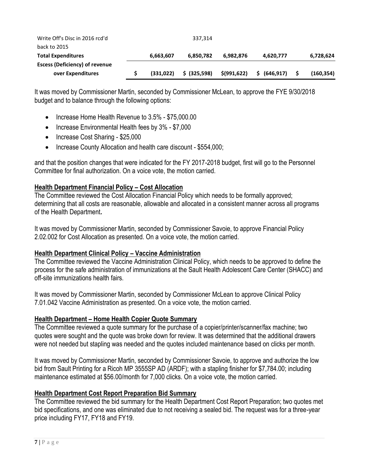| Write Off's Disc in 2016 rcd'd        |           | 337.314       |               |               |           |
|---------------------------------------|-----------|---------------|---------------|---------------|-----------|
| back to 2015                          |           |               |               |               |           |
| <b>Total Expenditures</b>             | 6,663,607 | 6.850.782     | 6.982.876     | 4,620,777     | 6,728,624 |
| <b>Escess (Deficiency) of revenue</b> |           |               |               |               |           |
| over Expenditures                     | (331.022) | $$$ (325.598) | \$ (991, 622) | \$ (646, 917) | (160.354) |

It was moved by Commissioner Martin, seconded by Commissioner McLean, to approve the FYE 9/30/2018 budget and to balance through the following options:

- Increase Home Health Revenue to 3.5% \$75,000.00
- Increase Environmental Health fees by 3% \$7,000
- Increase Cost Sharing \$25,000
- Increase County Allocation and health care discount \$554,000;

and that the position changes that were indicated for the FY 2017-2018 budget, first will go to the Personnel Committee for final authorization. On a voice vote, the motion carried.

# **Health Department Financial Policy – Cost Allocation**

The Committee reviewed the Cost Allocation Financial Policy which needs to be formally approved; determining that all costs are reasonable, allowable and allocated in a consistent manner across all programs of the Health Department**.**

It was moved by Commissioner Martin, seconded by Commissioner Savoie, to approve Financial Policy 2.02.002 for Cost Allocation as presented. On a voice vote, the motion carried.

## **Health Department Clinical Policy – Vaccine Administration**

The Committee reviewed the Vaccine Administration Clinical Policy, which needs to be approved to define the process for the safe administration of immunizations at the Sault Health Adolescent Care Center (SHACC) and off-site immunizations health fairs.

It was moved by Commissioner Martin, seconded by Commissioner McLean to approve Clinical Policy 7.01.042 Vaccine Administration as presented. On a voice vote, the motion carried.

## **Health Department – Home Health Copier Quote Summary**

The Committee reviewed a quote summary for the purchase of a copier/printer/scanner/fax machine; two quotes were sought and the quote was broke down for review. It was determined that the additional drawers were not needed but stapling was needed and the quotes included maintenance based on clicks per month.

It was moved by Commissioner Martin, seconded by Commissioner Savoie, to approve and authorize the low bid from Sault Printing for a Ricoh MP 3555SP AD (ARDF); with a stapling finisher for \$7,784.00; including maintenance estimated at \$56.00/month for 7,000 clicks. On a voice vote, the motion carried.

## **Health Department Cost Report Preparation Bid Summary**

The Committee reviewed the bid summary for the Health Department Cost Report Preparation; two quotes met bid specifications, and one was eliminated due to not receiving a sealed bid. The request was for a three-year price including FY17, FY18 and FY19.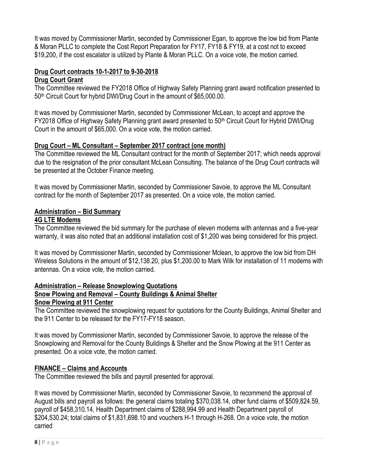It was moved by Commissioner Martin, seconded by Commissioner Egan, to approve the low bid from Plante & Moran PLLC to complete the Cost Report Preparation for FY17, FY18 & FY19, at a cost not to exceed \$19,200, if the cost escalator is utilized by Plante & Moran PLLC. On a voice vote, the motion carried.

# **Drug Court contracts 10-1-2017 to 9-30-2018**

## **Drug Court Grant**

The Committee reviewed the FY2018 Office of Highway Safety Planning grant award notification presented to 50th Circuit Court for hybrid DWI/Drug Court in the amount of \$65,000.00.

It was moved by Commissioner Martin, seconded by Commissioner McLean, to accept and approve the FY2018 Office of Highway Safety Planning grant award presented to 50<sup>th</sup> Circuit Court for Hybrid DWI/Drug Court in the amount of \$65,000. On a voice vote, the motion carried.

# **Drug Court – ML Consultant – September 2017 contract (one month)**

The Committee reviewed the ML Consultant contract for the month of September 2017; which needs approval due to the resignation of the prior consultant McLean Consulting. The balance of the Drug Court contracts will be presented at the October Finance meeting.

It was moved by Commissioner Martin, seconded by Commissioner Savoie, to approve the ML Consultant contract for the month of September 2017 as presented. On a voice vote, the motion carried.

# **Administration – Bid Summary**

# **4G LTE Modems**

The Committee reviewed the bid summary for the purchase of eleven modems with antennas and a five-year warranty, it was also noted that an additional installation cost of \$1,200 was being considered for this project.

It was moved by Commissioner Martin, seconded by Commissioner Mclean, to approve the low bid from DH Wireless Solutions in the amount of \$12,138.20, plus \$1,200.00 to Mark Wilk for installation of 11 modems with antennas. On a voice vote, the motion carried.

# **Administration – Release Snowplowing Quotations**

# **Snow Plowing and Removal – County Buildings & Animal Shelter**

## **Snow Plowing at 911 Center**

The Committee reviewed the snowplowing request for quotations for the County Buildings, Animal Shelter and the 911 Center to be released for the FY17-FY18 season.

It was moved by Commissioner Martin, seconded by Commissioner Savoie, to approve the release of the Snowplowing and Removal for the County Buildings & Shelter and the Snow Plowing at the 911 Center as presented. On a voice vote, the motion carried.

# **FINANCE – Claims and Accounts**

The Committee reviewed the bills and payroll presented for approval.

It was moved by Commissioner Martin, seconded by Commissioner Savoie, to recommend the approval of August bills and payroll as follows: the general claims totaling \$370,038.14, other fund claims of \$509,824.59, payroll of \$458,310.14, Health Department claims of \$288,994.99 and Health Department payroll of \$204,530.24; total claims of \$1,831,698.10 and vouchers H-1 through H-268. On a voice vote, the motion carried